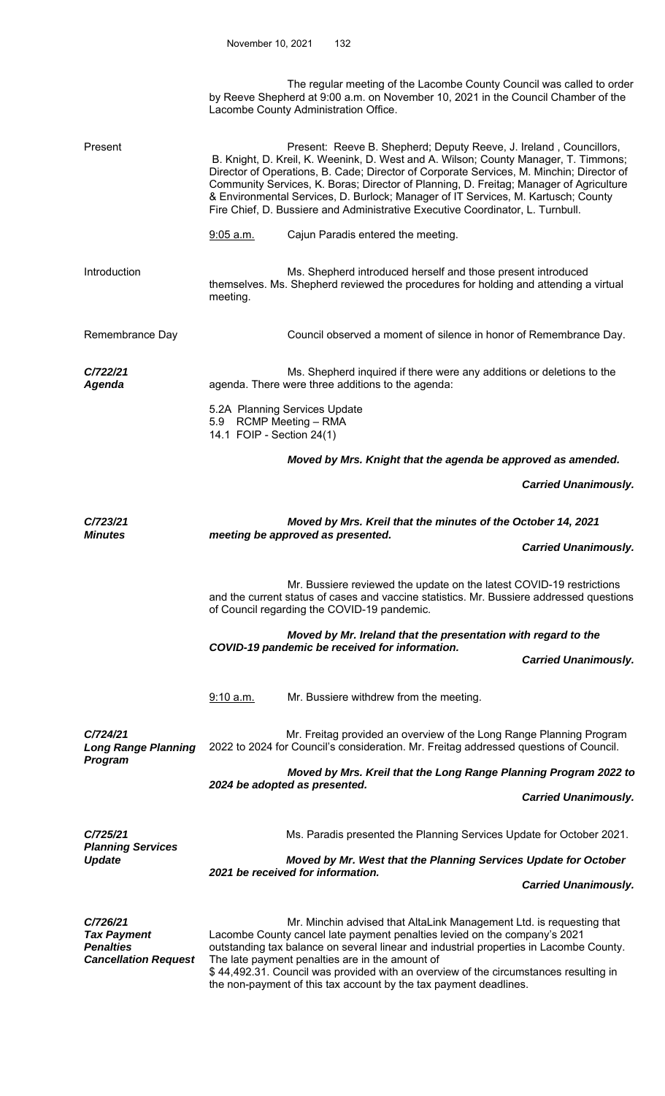The regular meeting of the Lacombe County Council was called to order by Reeve Shepherd at 9:00 a.m. on November 10, 2021 in the Council Chamber of the Lacombe County Administration Office.

| Present                                                                           | Present: Reeve B. Shepherd; Deputy Reeve, J. Ireland, Councillors,<br>B. Knight, D. Kreil, K. Weenink, D. West and A. Wilson; County Manager, T. Timmons;<br>Director of Operations, B. Cade; Director of Corporate Services, M. Minchin; Director of<br>Community Services, K. Boras; Director of Planning, D. Freitag; Manager of Agriculture<br>& Environmental Services, D. Burlock; Manager of IT Services, M. Kartusch; County<br>Fire Chief, D. Bussiere and Administrative Executive Coordinator, L. Turnbull. |                                                                                                                                                                                                                                                                                                                                                                                                                                                             |                             |  |  |
|-----------------------------------------------------------------------------------|------------------------------------------------------------------------------------------------------------------------------------------------------------------------------------------------------------------------------------------------------------------------------------------------------------------------------------------------------------------------------------------------------------------------------------------------------------------------------------------------------------------------|-------------------------------------------------------------------------------------------------------------------------------------------------------------------------------------------------------------------------------------------------------------------------------------------------------------------------------------------------------------------------------------------------------------------------------------------------------------|-----------------------------|--|--|
|                                                                                   | 9:05 a.m.                                                                                                                                                                                                                                                                                                                                                                                                                                                                                                              | Cajun Paradis entered the meeting.                                                                                                                                                                                                                                                                                                                                                                                                                          |                             |  |  |
| Introduction                                                                      | meeting.                                                                                                                                                                                                                                                                                                                                                                                                                                                                                                               | Ms. Shepherd introduced herself and those present introduced<br>themselves. Ms. Shepherd reviewed the procedures for holding and attending a virtual                                                                                                                                                                                                                                                                                                        |                             |  |  |
| Remembrance Day                                                                   |                                                                                                                                                                                                                                                                                                                                                                                                                                                                                                                        | Council observed a moment of silence in honor of Remembrance Day.                                                                                                                                                                                                                                                                                                                                                                                           |                             |  |  |
| C/722/21<br><b>Agenda</b>                                                         |                                                                                                                                                                                                                                                                                                                                                                                                                                                                                                                        | Ms. Shepherd inquired if there were any additions or deletions to the<br>agenda. There were three additions to the agenda:                                                                                                                                                                                                                                                                                                                                  |                             |  |  |
|                                                                                   | 5.2A Planning Services Update<br>5.9 RCMP Meeting - RMA<br>14.1 FOIP - Section 24(1)                                                                                                                                                                                                                                                                                                                                                                                                                                   |                                                                                                                                                                                                                                                                                                                                                                                                                                                             |                             |  |  |
|                                                                                   |                                                                                                                                                                                                                                                                                                                                                                                                                                                                                                                        | Moved by Mrs. Knight that the agenda be approved as amended.                                                                                                                                                                                                                                                                                                                                                                                                |                             |  |  |
|                                                                                   |                                                                                                                                                                                                                                                                                                                                                                                                                                                                                                                        |                                                                                                                                                                                                                                                                                                                                                                                                                                                             | <b>Carried Unanimously.</b> |  |  |
| C/723/21<br><b>Minutes</b>                                                        | Moved by Mrs. Kreil that the minutes of the October 14, 2021<br>meeting be approved as presented.                                                                                                                                                                                                                                                                                                                                                                                                                      |                                                                                                                                                                                                                                                                                                                                                                                                                                                             |                             |  |  |
|                                                                                   |                                                                                                                                                                                                                                                                                                                                                                                                                                                                                                                        |                                                                                                                                                                                                                                                                                                                                                                                                                                                             | <b>Carried Unanimously.</b> |  |  |
|                                                                                   |                                                                                                                                                                                                                                                                                                                                                                                                                                                                                                                        | Mr. Bussiere reviewed the update on the latest COVID-19 restrictions<br>and the current status of cases and vaccine statistics. Mr. Bussiere addressed questions<br>of Council regarding the COVID-19 pandemic.                                                                                                                                                                                                                                             |                             |  |  |
|                                                                                   | Moved by Mr. Ireland that the presentation with regard to the<br>COVID-19 pandemic be received for information.<br><b>Carried Unanimously.</b>                                                                                                                                                                                                                                                                                                                                                                         |                                                                                                                                                                                                                                                                                                                                                                                                                                                             |                             |  |  |
|                                                                                   | 9:10 a.m.                                                                                                                                                                                                                                                                                                                                                                                                                                                                                                              | Mr. Bussiere withdrew from the meeting.                                                                                                                                                                                                                                                                                                                                                                                                                     |                             |  |  |
| C/724/21<br><b>Long Range Planning</b><br>Program                                 |                                                                                                                                                                                                                                                                                                                                                                                                                                                                                                                        | Mr. Freitag provided an overview of the Long Range Planning Program<br>2022 to 2024 for Council's consideration. Mr. Freitag addressed questions of Council.                                                                                                                                                                                                                                                                                                |                             |  |  |
|                                                                                   | Moved by Mrs. Kreil that the Long Range Planning Program 2022 to<br>2024 be adopted as presented.                                                                                                                                                                                                                                                                                                                                                                                                                      |                                                                                                                                                                                                                                                                                                                                                                                                                                                             |                             |  |  |
|                                                                                   |                                                                                                                                                                                                                                                                                                                                                                                                                                                                                                                        |                                                                                                                                                                                                                                                                                                                                                                                                                                                             | <b>Carried Unanimously.</b> |  |  |
| C/725/21<br><b>Planning Services</b><br><b>Update</b>                             |                                                                                                                                                                                                                                                                                                                                                                                                                                                                                                                        | Ms. Paradis presented the Planning Services Update for October 2021.                                                                                                                                                                                                                                                                                                                                                                                        |                             |  |  |
|                                                                                   | Moved by Mr. West that the Planning Services Update for October<br>2021 be received for information.                                                                                                                                                                                                                                                                                                                                                                                                                   |                                                                                                                                                                                                                                                                                                                                                                                                                                                             |                             |  |  |
|                                                                                   |                                                                                                                                                                                                                                                                                                                                                                                                                                                                                                                        |                                                                                                                                                                                                                                                                                                                                                                                                                                                             | <b>Carried Unanimously.</b> |  |  |
| C/726/21<br><b>Tax Payment</b><br><b>Penalties</b><br><b>Cancellation Request</b> |                                                                                                                                                                                                                                                                                                                                                                                                                                                                                                                        | Mr. Minchin advised that AltaLink Management Ltd. is requesting that<br>Lacombe County cancel late payment penalties levied on the company's 2021<br>outstanding tax balance on several linear and industrial properties in Lacombe County.<br>The late payment penalties are in the amount of<br>\$44,492.31. Council was provided with an overview of the circumstances resulting in<br>the non-payment of this tax account by the tax payment deadlines. |                             |  |  |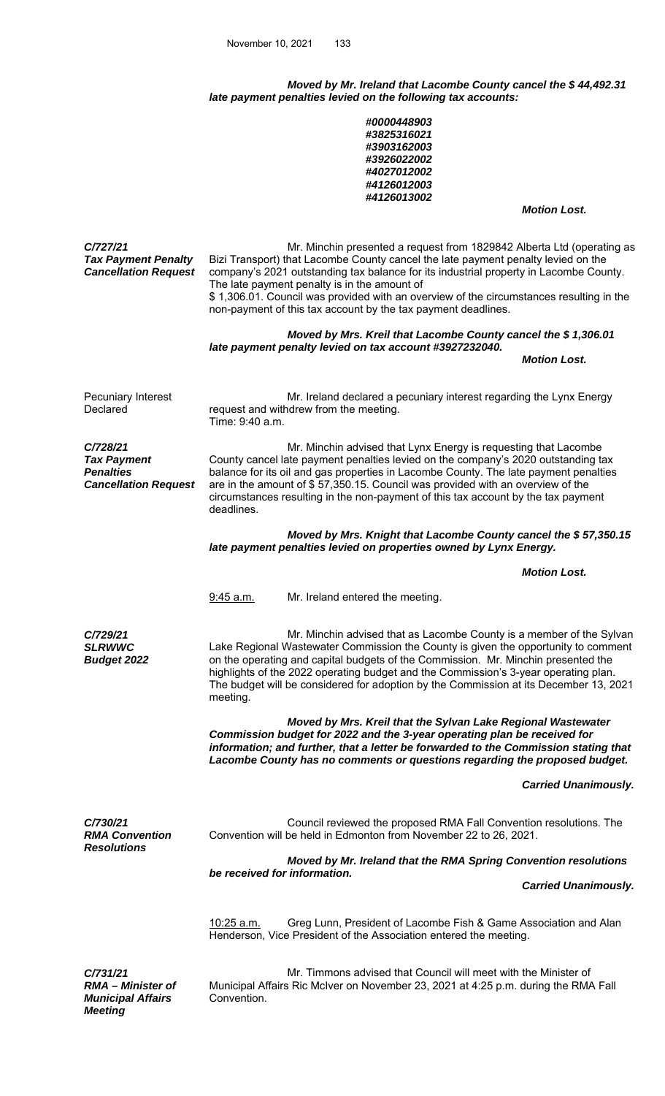*Moved by Mr. Ireland that Lacombe County cancel the \$ 44,492.31 late payment penalties levied on the following tax accounts:* 

|                                                                                   | #0000448903<br>#3825316021<br>#3903162003<br>#3926022002<br>#4027012002<br>#4126012003<br>#4126013002                                                                                                                                                                                                                                                                                                                                                                                                                             |  |  |  |  |
|-----------------------------------------------------------------------------------|-----------------------------------------------------------------------------------------------------------------------------------------------------------------------------------------------------------------------------------------------------------------------------------------------------------------------------------------------------------------------------------------------------------------------------------------------------------------------------------------------------------------------------------|--|--|--|--|
|                                                                                   | <b>Motion Lost.</b>                                                                                                                                                                                                                                                                                                                                                                                                                                                                                                               |  |  |  |  |
| C/727/21<br><b>Tax Payment Penalty</b><br><b>Cancellation Request</b>             | Mr. Minchin presented a request from 1829842 Alberta Ltd (operating as<br>Bizi Transport) that Lacombe County cancel the late payment penalty levied on the<br>company's 2021 outstanding tax balance for its industrial property in Lacombe County.<br>The late payment penalty is in the amount of<br>\$1,306.01. Council was provided with an overview of the circumstances resulting in the<br>non-payment of this tax account by the tax payment deadlines.<br>Moved by Mrs. Kreil that Lacombe County cancel the \$1,306.01 |  |  |  |  |
|                                                                                   | late payment penalty levied on tax account #3927232040.<br><b>Motion Lost.</b>                                                                                                                                                                                                                                                                                                                                                                                                                                                    |  |  |  |  |
|                                                                                   |                                                                                                                                                                                                                                                                                                                                                                                                                                                                                                                                   |  |  |  |  |
| Pecuniary Interest<br>Declared                                                    | Mr. Ireland declared a pecuniary interest regarding the Lynx Energy<br>request and withdrew from the meeting.<br>Time: 9:40 a.m.                                                                                                                                                                                                                                                                                                                                                                                                  |  |  |  |  |
| C/728/21<br><b>Tax Payment</b><br><b>Penalties</b><br><b>Cancellation Request</b> | Mr. Minchin advised that Lynx Energy is requesting that Lacombe<br>County cancel late payment penalties levied on the company's 2020 outstanding tax<br>balance for its oil and gas properties in Lacombe County. The late payment penalties<br>are in the amount of \$57,350.15. Council was provided with an overview of the<br>circumstances resulting in the non-payment of this tax account by the tax payment<br>deadlines.                                                                                                 |  |  |  |  |
|                                                                                   | Moved by Mrs. Knight that Lacombe County cancel the \$57,350.15<br>late payment penalties levied on properties owned by Lynx Energy.                                                                                                                                                                                                                                                                                                                                                                                              |  |  |  |  |
|                                                                                   | <b>Motion Lost.</b>                                                                                                                                                                                                                                                                                                                                                                                                                                                                                                               |  |  |  |  |
|                                                                                   | 9:45 a.m.<br>Mr. Ireland entered the meeting.                                                                                                                                                                                                                                                                                                                                                                                                                                                                                     |  |  |  |  |
| C/729/21<br><b>SLRWWC</b><br><b>Budget 2022</b>                                   | Mr. Minchin advised that as Lacombe County is a member of the Sylvan<br>Lake Regional Wastewater Commission the County is given the opportunity to comment<br>on the operating and capital budgets of the Commission. Mr. Minchin presented the<br>highlights of the 2022 operating budget and the Commission's 3-year operating plan.<br>The budget will be considered for adoption by the Commission at its December 13, 2021<br>meeting.                                                                                       |  |  |  |  |
|                                                                                   |                                                                                                                                                                                                                                                                                                                                                                                                                                                                                                                                   |  |  |  |  |
|                                                                                   | Moved by Mrs. Kreil that the Sylvan Lake Regional Wastewater<br>Commission budget for 2022 and the 3-year operating plan be received for<br>information; and further, that a letter be forwarded to the Commission stating that<br>Lacombe County has no comments or questions regarding the proposed budget.                                                                                                                                                                                                                     |  |  |  |  |
|                                                                                   | <b>Carried Unanimously.</b>                                                                                                                                                                                                                                                                                                                                                                                                                                                                                                       |  |  |  |  |
| C/730/21<br><b>RMA Convention</b><br><b>Resolutions</b>                           | Council reviewed the proposed RMA Fall Convention resolutions. The<br>Convention will be held in Edmonton from November 22 to 26, 2021.                                                                                                                                                                                                                                                                                                                                                                                           |  |  |  |  |
|                                                                                   | Moved by Mr. Ireland that the RMA Spring Convention resolutions                                                                                                                                                                                                                                                                                                                                                                                                                                                                   |  |  |  |  |
|                                                                                   | be received for information.<br><b>Carried Unanimously.</b>                                                                                                                                                                                                                                                                                                                                                                                                                                                                       |  |  |  |  |
|                                                                                   | Greg Lunn, President of Lacombe Fish & Game Association and Alan<br>10:25 a.m.<br>Henderson, Vice President of the Association entered the meeting.                                                                                                                                                                                                                                                                                                                                                                               |  |  |  |  |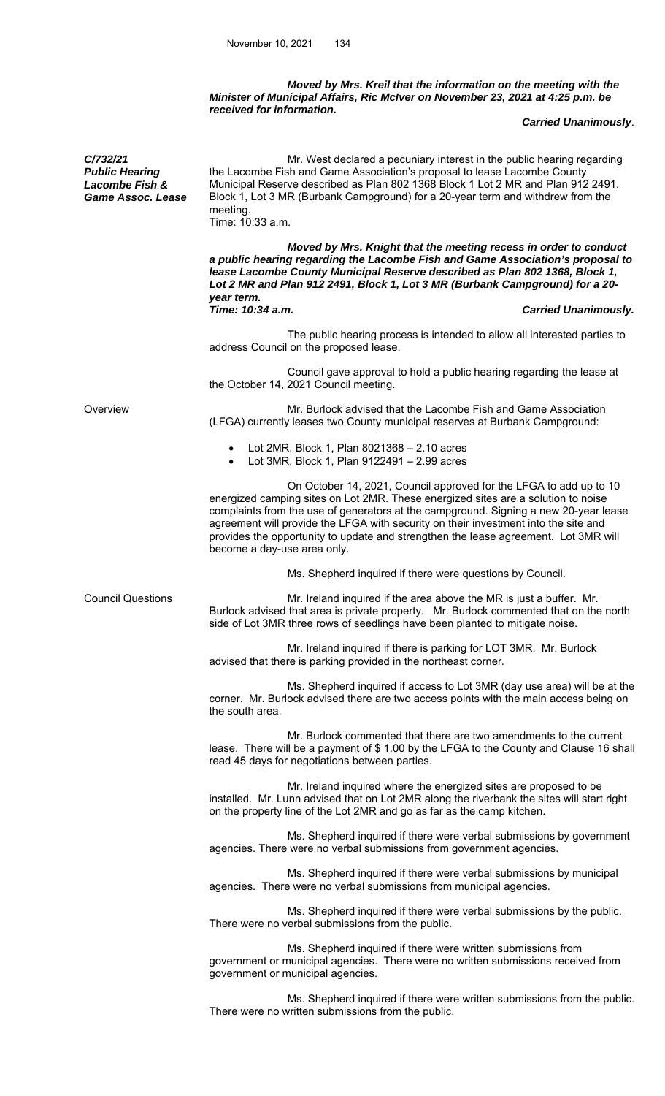## *Moved by Mrs. Kreil that the information on the meeting with the Minister of Municipal Affairs, Ric McIver on November 23, 2021 at 4:25 p.m. be received for information.*

## *Carried Unanimously*.

 Mr. West declared a pecuniary interest in the public hearing regarding the Lacombe Fish and Game Association's proposal to lease Lacombe County Municipal Reserve described as Plan 802 1368 Block 1 Lot 2 MR and Plan 912 2491, Block 1, Lot 3 MR (Burbank Campground) for a 20-year term and withdrew from the meeting. Time: 10:33 a.m.

 *Moved by Mrs. Knight that the meeting recess in order to conduct a public hearing regarding the Lacombe Fish and Game Association's proposal to lease Lacombe County Municipal Reserve described as Plan 802 1368, Block 1, Lot 2 MR and Plan 912 2491, Block 1, Lot 3 MR (Burbank Campground) for a 20 year term.*  **Carried Unanimously.** 

 The public hearing process is intended to allow all interested parties to address Council on the proposed lease.

 Council gave approval to hold a public hearing regarding the lease at the October 14, 2021 Council meeting.

Overview Mr. Burlock advised that the Lacombe Fish and Game Association (LFGA) currently leases two County municipal reserves at Burbank Campground:

- Lot 2MR, Block 1, Plan 8021368 2.10 acres
- Lot 3MR, Block 1, Plan 9122491 2.99 acres

 On October 14, 2021, Council approved for the LFGA to add up to 10 energized camping sites on Lot 2MR. These energized sites are a solution to noise complaints from the use of generators at the campground. Signing a new 20-year lease agreement will provide the LFGA with security on their investment into the site and provides the opportunity to update and strengthen the lease agreement. Lot 3MR will become a day-use area only.

Ms. Shepherd inquired if there were questions by Council.

*C/732/21 Public Hearing Lacombe Fish & Game Assoc. Lease* 

Council Questions **Mr.** Ireland inquired if the area above the MR is just a buffer. Mr. Burlock advised that area is private property. Mr. Burlock commented that on the north side of Lot 3MR three rows of seedlings have been planted to mitigate noise.

> Mr. Ireland inquired if there is parking for LOT 3MR. Mr. Burlock advised that there is parking provided in the northeast corner.

 Ms. Shepherd inquired if access to Lot 3MR (day use area) will be at the corner. Mr. Burlock advised there are two access points with the main access being on the south area.

 Mr. Burlock commented that there are two amendments to the current lease. There will be a payment of \$ 1.00 by the LFGA to the County and Clause 16 shall read 45 days for negotiations between parties.

 Mr. Ireland inquired where the energized sites are proposed to be installed. Mr. Lunn advised that on Lot 2MR along the riverbank the sites will start right on the property line of the Lot 2MR and go as far as the camp kitchen.

 Ms. Shepherd inquired if there were verbal submissions by government agencies. There were no verbal submissions from government agencies.

 Ms. Shepherd inquired if there were verbal submissions by municipal agencies. There were no verbal submissions from municipal agencies.

 Ms. Shepherd inquired if there were verbal submissions by the public. There were no verbal submissions from the public.

 Ms. Shepherd inquired if there were written submissions from government or municipal agencies. There were no written submissions received from government or municipal agencies.

 Ms. Shepherd inquired if there were written submissions from the public. There were no written submissions from the public.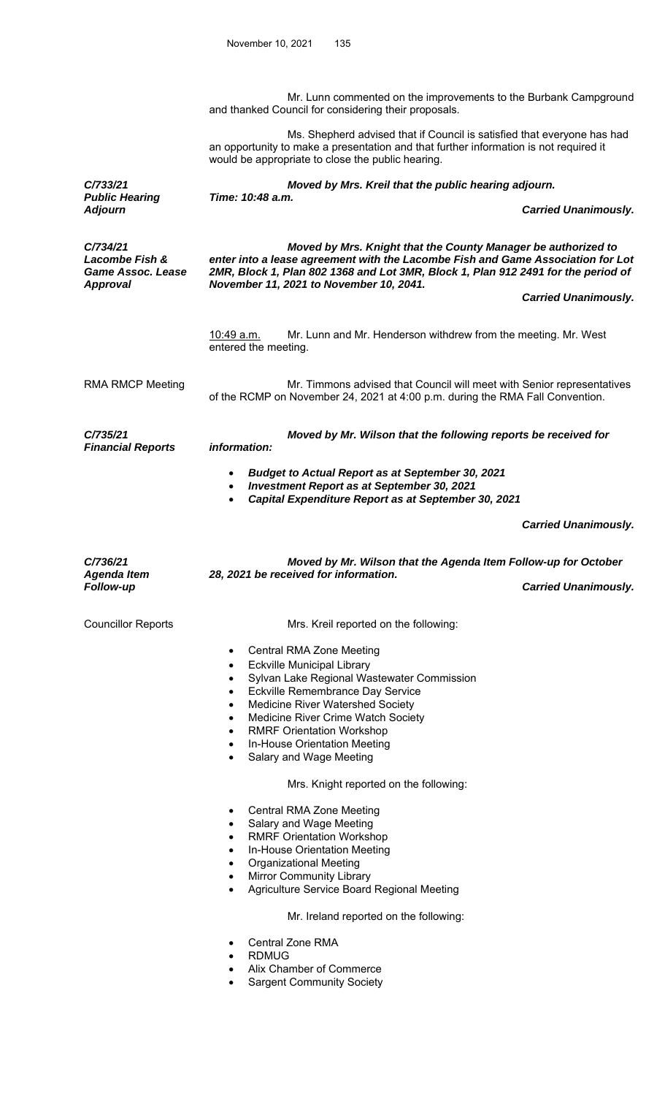Mr. Lunn commented on the improvements to the Burbank Campground and thanked Council for considering their proposals.

 Ms. Shepherd advised that if Council is satisfied that everyone has had an opportunity to make a presentation and that further information is not required it

would be appropriate to close the public hearing. *C/733/21 Moved by Mrs. Kreil that the public hearing adjourn. Public Hearing Time: 10:48 a.m.*  **Carried Unanimously.** *C/734/21 Lacombe Fish & Game Assoc. Lease Approval Moved by Mrs. Knight that the County Manager be authorized to enter into a lease agreement with the Lacombe Fish and Game Association for Lot 2MR, Block 1, Plan 802 1368 and Lot 3MR, Block 1, Plan 912 2491 for the period of November 11, 2021 to November 10, 2041. Carried Unanimously.*  10:49 a.m. Mr. Lunn and Mr. Henderson withdrew from the meeting. Mr. West entered the meeting. RMA RMCP Meeting **Mr. Timmons advised that Council will meet with Senior representatives** of the RCMP on November 24, 2021 at 4:00 p.m. during the RMA Fall Convention. *C/735/21 Financial Reports Moved by Mr. Wilson that the following reports be received for information: Budget to Actual Report as at September 30, 2021 Investment Report as at September 30, 2021 Capital Expenditure Report as at September 30, 2021 Carried Unanimously. C/736/21 Agenda Item Moved by Mr. Wilson that the Agenda Item Follow-up for October 28, 2021 be received for information.*  **Carried Unanimously.** Councillor Reports **Mrs.** Kreil reported on the following: Central RMA Zone Meeting Eckville Municipal Library Sylvan Lake Regional Wastewater Commission Eckville Remembrance Day Service Medicine River Watershed Society Medicine River Crime Watch Society RMRF Orientation Workshop In-House Orientation Meeting

Salary and Wage Meeting

Mrs. Knight reported on the following:

- Central RMA Zone Meeting
- Salary and Wage Meeting
- RMRF Orientation Workshop
- In-House Orientation Meeting
- Organizational Meeting
- Mirror Community Library
- Agriculture Service Board Regional Meeting

Mr. Ireland reported on the following:

- Central Zone RMA
- RDMUG
- Alix Chamber of Commerce
- Sargent Community Society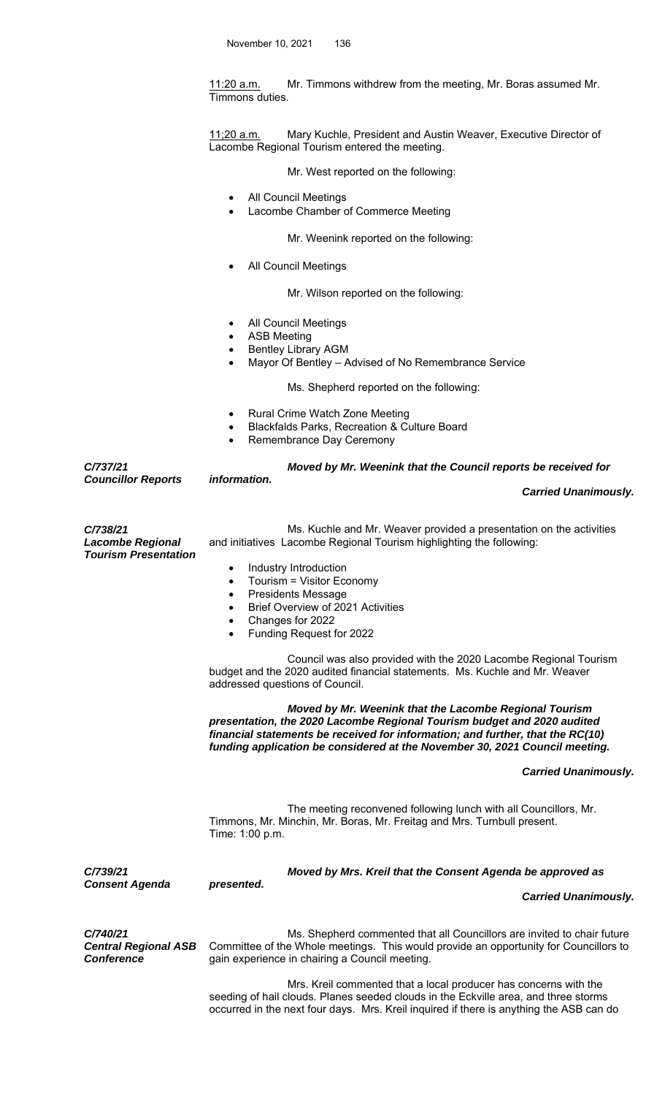11:20 a.m. Mr. Timmons withdrew from the meeting, Mr. Boras assumed Mr. Timmons duties.

11;20 a.m. Mary Kuchle, President and Austin Weaver, Executive Director of Lacombe Regional Tourism entered the meeting.

Mr. West reported on the following:

- All Council Meetings
- Lacombe Chamber of Commerce Meeting

Mr. Weenink reported on the following:

All Council Meetings

Mr. Wilson reported on the following:

- All Council Meetings
- ASB Meeting
- Bentley Library AGM
- Mayor Of Bentley Advised of No Remembrance Service

Ms. Shepherd reported on the following:

- Rural Crime Watch Zone Meeting
- Blackfalds Parks, Recreation & Culture Board
- Remembrance Day Ceremony

*C/737/21 Councillor Reports Moved by Mr. Weenink that the Council reports be received for information. Carried Unanimously. C/738/21 Lacombe Regional*  Ms. Kuchle and Mr. Weaver provided a presentation on the activities and initiatives Lacombe Regional Tourism highlighting the following: *Tourism Presentation*  Industry Introduction Tourism = Visitor Economy Presidents Message Brief Overview of 2021 Activities Changes for 2022 Funding Request for 2022 Council was also provided with the 2020 Lacombe Regional Tourism budget and the 2020 audited financial statements. Ms. Kuchle and Mr. Weaver addressed questions of Council. *Moved by Mr. Weenink that the Lacombe Regional Tourism presentation, the 2020 Lacombe Regional Tourism budget and 2020 audited financial statements be received for information; and further, that the RC(10) funding application be considered at the November 30, 2021 Council meeting. Carried Unanimously.*  The meeting reconvened following lunch with all Councillors, Mr. Timmons, Mr. Minchin, Mr. Boras, Mr. Freitag and Mrs. Turnbull present. Time: 1:00 p.m. *C/739/21 Consent Agenda Moved by Mrs. Kreil that the Consent Agenda be approved as presented. Carried Unanimously. C/740/21 Central Regional ASB Conference*  Ms. Shepherd commented that all Councillors are invited to chair future Committee of the Whole meetings. This would provide an opportunity for Councillors to gain experience in chairing a Council meeting. Mrs. Kreil commented that a local producer has concerns with the seeding of hail clouds. Planes seeded clouds in the Eckville area, and three storms

occurred in the next four days. Mrs. Kreil inquired if there is anything the ASB can do